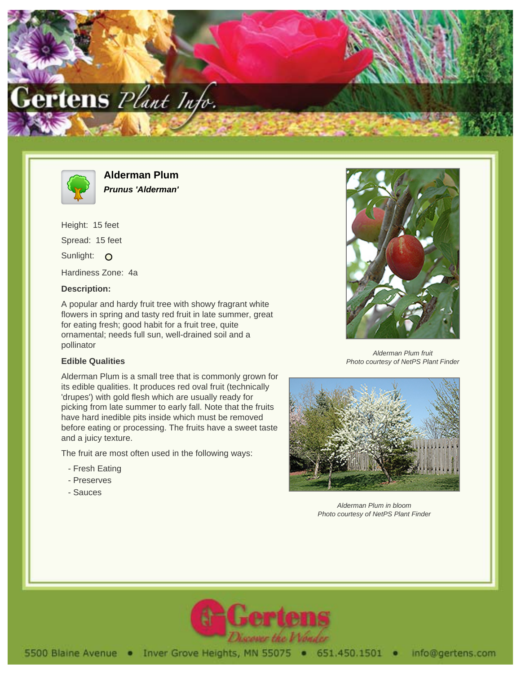



**Alderman Plum Prunus 'Alderman'**

Height: 15 feet Spread: 15 feet Sunlight: O Hardiness Zone: 4a

## **Description:**

A popular and hardy fruit tree with showy fragrant white flowers in spring and tasty red fruit in late summer, great for eating fresh; good habit for a fruit tree, quite ornamental; needs full sun, well-drained soil and a pollinator

## **Edible Qualities**

Alderman Plum is a small tree that is commonly grown for its edible qualities. It produces red oval fruit (technically 'drupes') with gold flesh which are usually ready for picking from late summer to early fall. Note that the fruits have hard inedible pits inside which must be removed before eating or processing. The fruits have a sweet taste and a juicy texture.

The fruit are most often used in the following ways:

- Fresh Eating
- Preserves
- Sauces



Alderman Plum fruit Photo courtesy of NetPS Plant Finder



Alderman Plum in bloom Photo courtesy of NetPS Plant Finder